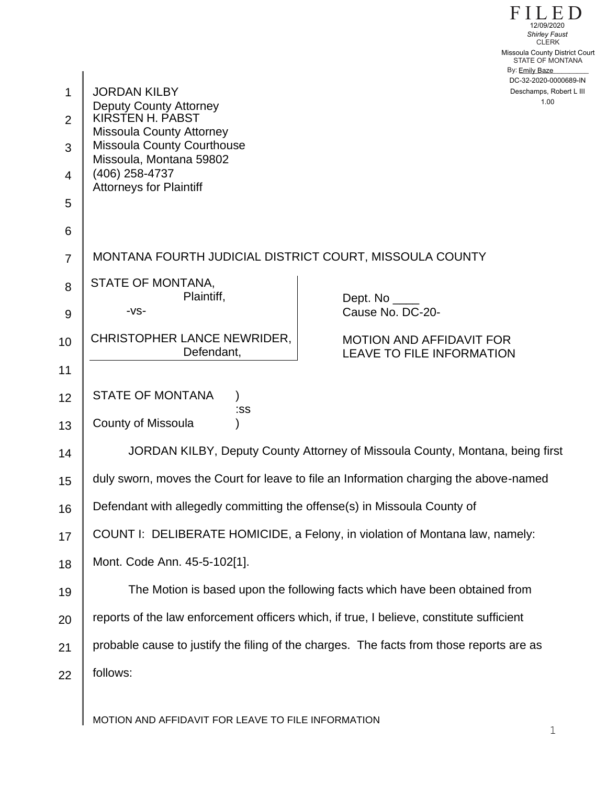|                |                                                                                          | 12/09/2020<br><b>Shirley Faust</b><br><b>CLERK</b>                  |
|----------------|------------------------------------------------------------------------------------------|---------------------------------------------------------------------|
|                |                                                                                          | Missoula County District Court<br>STATE OF MONTANA                  |
|                |                                                                                          | By: Emily Baze<br>DC-32-2020-0000689-IN                             |
| 1              | <b>JORDAN KILBY</b><br><b>Deputy County Attorney</b>                                     | Deschamps, Robert L III<br>1.00                                     |
| 2              | KIRSTEN H. PABST<br><b>Missoula County Attorney</b>                                      |                                                                     |
| 3              | <b>Missoula County Courthouse</b><br>Missoula, Montana 59802                             |                                                                     |
| $\overline{4}$ | (406) 258-4737<br><b>Attorneys for Plaintiff</b>                                         |                                                                     |
| 5              |                                                                                          |                                                                     |
| 6              |                                                                                          |                                                                     |
| $\overline{7}$ | MONTANA FOURTH JUDICIAL DISTRICT COURT, MISSOULA COUNTY                                  |                                                                     |
| 8              | STATE OF MONTANA,<br>Plaintiff,                                                          | Dept. No                                                            |
| 9              | -VS-                                                                                     | Cause No. DC-20-                                                    |
| 10             | CHRISTOPHER LANCE NEWRIDER,<br>Defendant,                                                | <b>MOTION AND AFFIDAVIT FOR</b><br><b>LEAVE TO FILE INFORMATION</b> |
| 11             |                                                                                          |                                                                     |
| 12             | <b>STATE OF MONTANA</b><br>:SS                                                           |                                                                     |
| 13             | <b>County of Missoula</b>                                                                |                                                                     |
| 14             | JORDAN KILBY, Deputy County Attorney of Missoula County, Montana, being first            |                                                                     |
| 15             | duly sworn, moves the Court for leave to file an Information charging the above-named    |                                                                     |
| 16             | Defendant with allegedly committing the offense(s) in Missoula County of                 |                                                                     |
| 17             | COUNT I: DELIBERATE HOMICIDE, a Felony, in violation of Montana law, namely:             |                                                                     |
| 18             | Mont. Code Ann. 45-5-102[1].                                                             |                                                                     |
| 19             | The Motion is based upon the following facts which have been obtained from               |                                                                     |
| 20             | reports of the law enforcement officers which, if true, I believe, constitute sufficient |                                                                     |
| 21             | probable cause to justify the filing of the charges. The facts from those reports are as |                                                                     |
| 22             | follows:                                                                                 |                                                                     |
|                |                                                                                          |                                                                     |

MOTION AND AFFIDAVIT FOR LEAVE TO FILE INFORMATION

FILED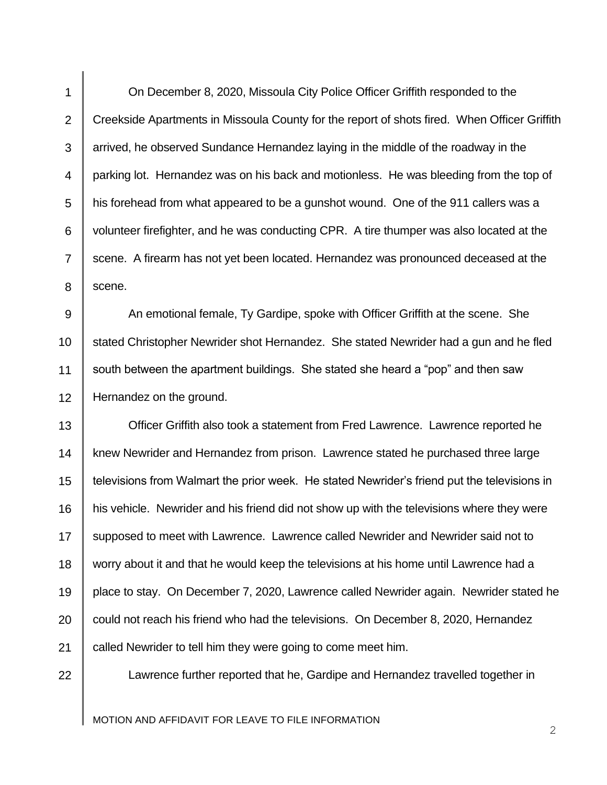1 2 3 4 5 6 7 8 On December 8, 2020, Missoula City Police Officer Griffith responded to the Creekside Apartments in Missoula County for the report of shots fired. When Officer Griffith arrived, he observed Sundance Hernandez laying in the middle of the roadway in the parking lot. Hernandez was on his back and motionless. He was bleeding from the top of his forehead from what appeared to be a gunshot wound. One of the 911 callers was a volunteer firefighter, and he was conducting CPR. A tire thumper was also located at the scene. A firearm has not yet been located. Hernandez was pronounced deceased at the scene.

9 10 11 12 An emotional female, Ty Gardipe, spoke with Officer Griffith at the scene. She stated Christopher Newrider shot Hernandez. She stated Newrider had a gun and he fled south between the apartment buildings. She stated she heard a "pop" and then saw Hernandez on the ground.

13 14 15 16 17 18 19 20 21 Officer Griffith also took a statement from Fred Lawrence. Lawrence reported he knew Newrider and Hernandez from prison. Lawrence stated he purchased three large televisions from Walmart the prior week. He stated Newrider's friend put the televisions in his vehicle. Newrider and his friend did not show up with the televisions where they were supposed to meet with Lawrence. Lawrence called Newrider and Newrider said not to worry about it and that he would keep the televisions at his home until Lawrence had a place to stay. On December 7, 2020, Lawrence called Newrider again. Newrider stated he could not reach his friend who had the televisions. On December 8, 2020, Hernandez called Newrider to tell him they were going to come meet him.

22

Lawrence further reported that he, Gardipe and Hernandez travelled together in

MOTION AND AFFIDAVIT FOR LEAVE TO FILE INFORMATION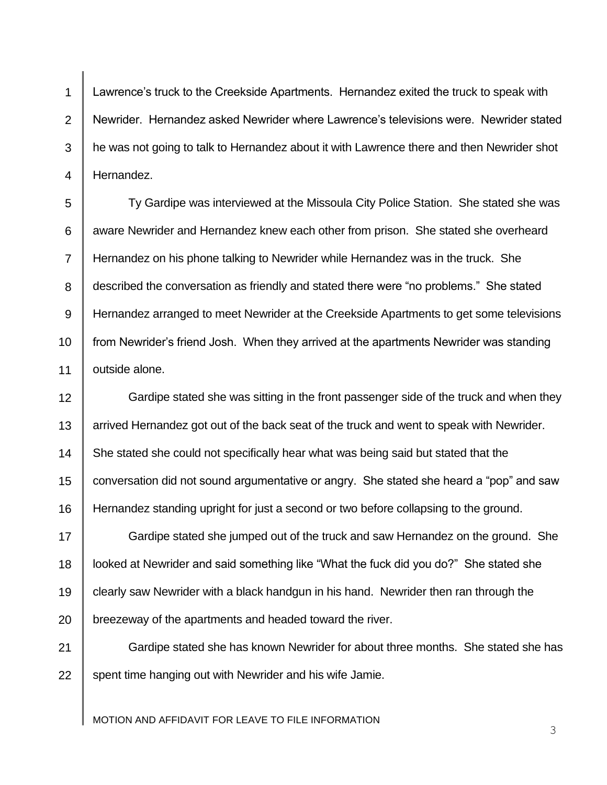1 2 3 4 Lawrence's truck to the Creekside Apartments. Hernandez exited the truck to speak with Newrider. Hernandez asked Newrider where Lawrence's televisions were. Newrider stated he was not going to talk to Hernandez about it with Lawrence there and then Newrider shot Hernandez.

5 6 7 8 9 10 11 Ty Gardipe was interviewed at the Missoula City Police Station. She stated she was aware Newrider and Hernandez knew each other from prison. She stated she overheard Hernandez on his phone talking to Newrider while Hernandez was in the truck. She described the conversation as friendly and stated there were "no problems." She stated Hernandez arranged to meet Newrider at the Creekside Apartments to get some televisions from Newrider's friend Josh. When they arrived at the apartments Newrider was standing outside alone.

12 13 14 15 16 Gardipe stated she was sitting in the front passenger side of the truck and when they arrived Hernandez got out of the back seat of the truck and went to speak with Newrider. She stated she could not specifically hear what was being said but stated that the conversation did not sound argumentative or angry. She stated she heard a "pop" and saw Hernandez standing upright for just a second or two before collapsing to the ground.

17 18 19 20 Gardipe stated she jumped out of the truck and saw Hernandez on the ground. She looked at Newrider and said something like "What the fuck did you do?" She stated she clearly saw Newrider with a black handgun in his hand. Newrider then ran through the breezeway of the apartments and headed toward the river.

21 22 Gardipe stated she has known Newrider for about three months. She stated she has spent time hanging out with Newrider and his wife Jamie.

MOTION AND AFFIDAVIT FOR LEAVE TO FILE INFORMATION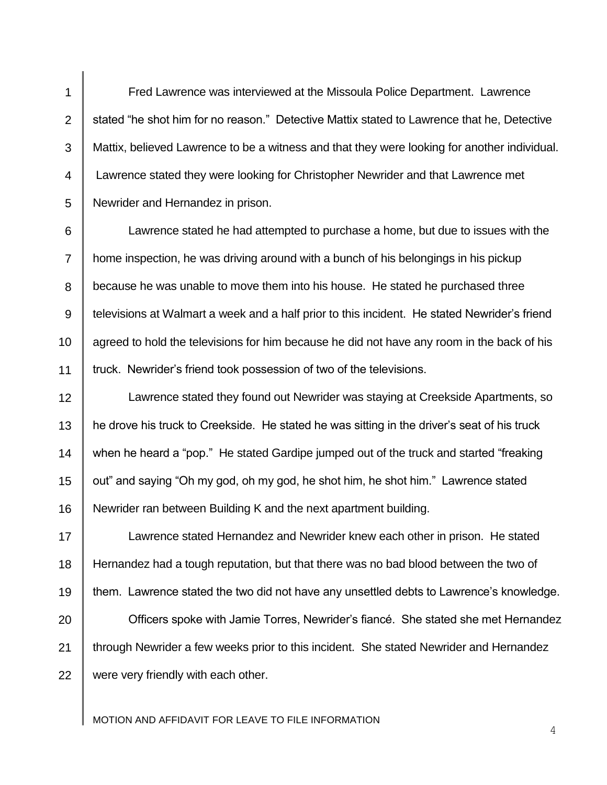Fred Lawrence was interviewed at the Missoula Police Department. Lawrence stated "he shot him for no reason." Detective Mattix stated to Lawrence that he, Detective Mattix, believed Lawrence to be a witness and that they were looking for another individual. Lawrence stated they were looking for Christopher Newrider and that Lawrence met Newrider and Hernandez in prison.

1

2

3

4

5

6 7 8 9 10 11 Lawrence stated he had attempted to purchase a home, but due to issues with the home inspection, he was driving around with a bunch of his belongings in his pickup because he was unable to move them into his house. He stated he purchased three televisions at Walmart a week and a half prior to this incident. He stated Newrider's friend agreed to hold the televisions for him because he did not have any room in the back of his truck. Newrider's friend took possession of two of the televisions.

12 13 14 15 16 Lawrence stated they found out Newrider was staying at Creekside Apartments, so he drove his truck to Creekside. He stated he was sitting in the driver's seat of his truck when he heard a "pop." He stated Gardipe jumped out of the truck and started "freaking out" and saying "Oh my god, oh my god, he shot him, he shot him." Lawrence stated Newrider ran between Building K and the next apartment building.

17 18 19 20 21 22 Lawrence stated Hernandez and Newrider knew each other in prison. He stated Hernandez had a tough reputation, but that there was no bad blood between the two of them. Lawrence stated the two did not have any unsettled debts to Lawrence's knowledge. Officers spoke with Jamie Torres, Newrider's fiancé. She stated she met Hernandez through Newrider a few weeks prior to this incident. She stated Newrider and Hernandez were very friendly with each other.

MOTION AND AFFIDAVIT FOR LEAVE TO FILE INFORMATION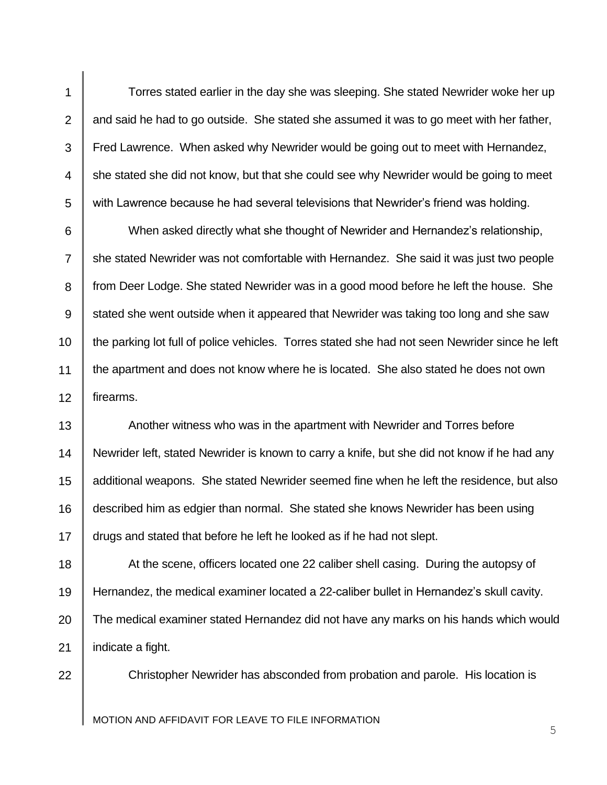Torres stated earlier in the day she was sleeping. She stated Newrider woke her up and said he had to go outside. She stated she assumed it was to go meet with her father, Fred Lawrence. When asked why Newrider would be going out to meet with Hernandez, she stated she did not know, but that she could see why Newrider would be going to meet with Lawrence because he had several televisions that Newrider's friend was holding.

1

2

3

4

5

11

22

6 7 8 9 10 12 When asked directly what she thought of Newrider and Hernandez's relationship, she stated Newrider was not comfortable with Hernandez. She said it was just two people from Deer Lodge. She stated Newrider was in a good mood before he left the house. She stated she went outside when it appeared that Newrider was taking too long and she saw the parking lot full of police vehicles. Torres stated she had not seen Newrider since he left the apartment and does not know where he is located. She also stated he does not own firearms.

13 14 15 16 17 Another witness who was in the apartment with Newrider and Torres before Newrider left, stated Newrider is known to carry a knife, but she did not know if he had any additional weapons. She stated Newrider seemed fine when he left the residence, but also described him as edgier than normal. She stated she knows Newrider has been using drugs and stated that before he left he looked as if he had not slept.

18 19 20 21 At the scene, officers located one 22 caliber shell casing. During the autopsy of Hernandez, the medical examiner located a 22-caliber bullet in Hernandez's skull cavity. The medical examiner stated Hernandez did not have any marks on his hands which would indicate a fight.

Christopher Newrider has absconded from probation and parole. His location is

MOTION AND AFFIDAVIT FOR LEAVE TO FILE INFORMATION